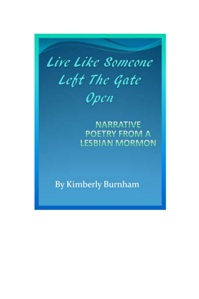

**NARRATIVE** POETRY FROM A **LESBIAN MORMON** 

**By Kimberly Burnham**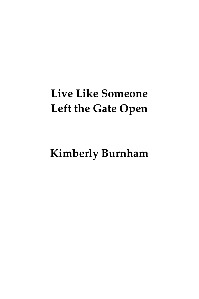# **Live Like Someone Left the Gate Open**

**Kimberly Burnham**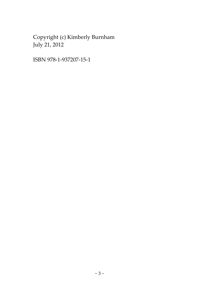Copyright (c) Kimberly Burnham July 21, 2012

ISBN 978-1-937207-15-1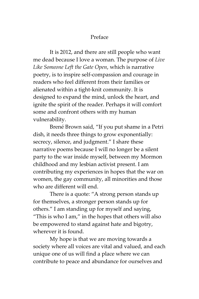# Preface

<span id="page-3-0"></span>It is 2012, and there are still people who want me dead because I love a woman. The purpose of *Live Like Someone Left the Gate Open*, which is narrative poetry, is to inspire self-compassion and courage in readers who feel different from their families or alienated within a tight-knit community. It is designed to expand the mind, unlock the heart, and ignite the spirit of the reader. Perhaps it will comfort some and confront others with my human vulnerability.

Brené Brown said, "If you put shame in a Petri dish, it needs three things to grow exponentially: secrecy, silence, and judgment." I share these narrative poems because I will no longer be a silent party to the war inside myself, between my Mormon childhood and my lesbian activist present. I am contributing my experiences in hopes that the war on women, the gay community, all minorities and those who are different will end.

There is a quote: "A strong person stands up for themselves, a stronger person stands up for others." I am standing up for myself and saying, "This is who I am," in the hopes that others will also be empowered to stand against hate and bigotry, wherever it is found.

My hope is that we are moving towards a society where all voices are vital and valued, and each unique one of us will find a place where we can contribute to peace and abundance for ourselves and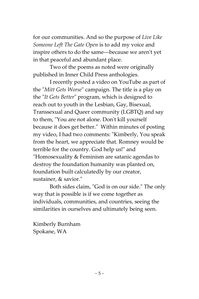for our communities. And so the purpose of *Live Like Someone Left The Gate Open* is to add my voice and inspire others to do the same––because we aren't yet in that peaceful and abundant place.

Two of the poems as noted were originally published in Inner Child Press anthologies.

I recently posted a video on YouTube as part of the "*Mitt Gets Worse*" campaign. The title is a play on the "*It Gets Better*" program, which is designed to reach out to youth in the Lesbian, Gay, Bisexual, Transsexual and Queer community (LGBTQ) and say to them, "You are not alone. Don't kill yourself because it does get better." Within minutes of posting my video, I had two comments: "Kimberly, You speak from the heart, we appreciate that. Romney would be terrible for the country. God help us!" and "Homosexuality & Feminism are satanic agendas to destroy the foundation humanity was planted on, foundation built calculatedly by our creator, sustainer, & savior."

Both sides claim, "God is on our side." The only way that is possible is if we come together as individuals, communities, and countries, seeing the similarities in ourselves and ultimately being seen.

Kimberly Burnham Spokane, WA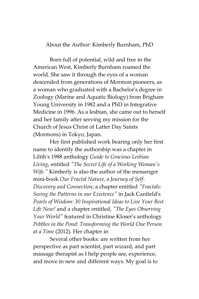<span id="page-5-0"></span>About the Author: Kimberly Burnham, PhD

Born full of potential, wild and free in the American West, Kimberly Burnham roamed the world. She saw it through the eyes of a woman descended from generations of Mormon pioneers, as a woman who graduated with a Bachelor's degree in Zoology (Marine and Aquatic Biology) from Brigham Young University in 1982 and a PhD in Integrative Medicine in 1996. As a lesbian, she came out to herself and her family after serving my mission for the Church of Jesus Christ of Latter Day Saints (Mormons) in Tokyo, Japan.

Her first published work bearing only her first name to identify the authorship was a chapter in Lilith's 1988 anthology *Guide to Gracious Lesbian Living*, entitled *"The Secret Life of a Working Woman's Wife."* Kimberly is also the author of the messenger mini-book *Our Fractal Nature, a Journey of Self-Discovery and Connection*; a chapter entitled *"Fractals: Seeing the Patterns in our Existence"* in Jack Canfield's *Pearls of Wisdom: 30 Inspirational Ideas to Live Your Best Life Now!* and a chapter entitled, *"The Eyes Observing Your World"* featured in Christine Kloser's anthology *Pebbles in the Pond: Transforming the World One Person at a Time* (2012). Her chapter in

Several other books: are written from her perspective as part scientist, part wizard, and part massage therapist as I help people see, experience, and move in new and different ways. My goal is to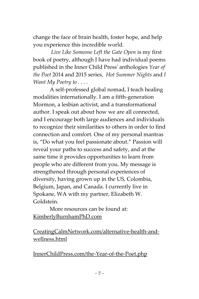change the face of brain health, foster hope, and help you experience this incredible world.

*Live Like Someone Left the Gate Open* is my first book of poetry, although I have had individual poems published in the Inner Child Press' anthologies *Year of the Poet* 2014 and 2015 series, *Hot Summer Nights* and *I Want My Poetry to . . . .*

A self-professed global nomad, I teach healing modalities internationally. I am a fifth-generation Mormon, a lesbian activist, and a transformational author. I speak out about how we are all connected, and I encourage both large audiences and individuals to recognize their similarities to others in order to find connection and comfort. One of my personal mantras is, "Do what you feel passionate about." Passion will reveal your paths to success and safety, and at the same time it provides opportunities to learn from people who are different from you. My message is strengthened through personal experiences of diversity, having grown up in the US, Colombia, Belgium, Japan, and Canada. I currently live in Spokane, WA with my partner, Elizabeth W. Goldstein.

More resources can be found at: [KimberlyBurnhamPhD.com](www.KimberlyBurnhamPhD.com)

[CreatingCalmNetwork.com/alternative-health-and](http://www.creatingcalmnetwork.com/alternative-health-and-wellness.html)[wellness.html](http://www.creatingcalmnetwork.com/alternative-health-and-wellness.html)

[InnerChildPress.com/the-Year-of-the-Poet.php](http://www.innerchildpress.com/the-year-of-the-poet.php)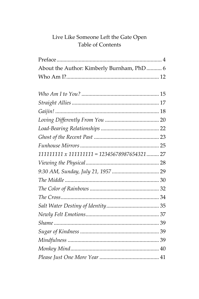# Live Like Someone Left the Gate Open<br>Table of Contents

| About the Author: Kimberly Burnham, PhD 6           |  |
|-----------------------------------------------------|--|
|                                                     |  |
|                                                     |  |
|                                                     |  |
|                                                     |  |
|                                                     |  |
|                                                     |  |
|                                                     |  |
|                                                     |  |
|                                                     |  |
| $111111111 \times 111111111 = 12345678987654321$ 27 |  |
|                                                     |  |
|                                                     |  |
|                                                     |  |
|                                                     |  |
|                                                     |  |
|                                                     |  |
|                                                     |  |
|                                                     |  |
|                                                     |  |
|                                                     |  |
|                                                     |  |
|                                                     |  |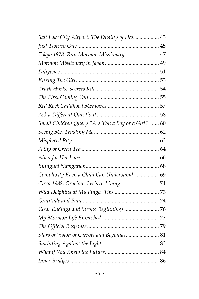| Salt Lake City Airport: The Duality of Hair 43      |  |
|-----------------------------------------------------|--|
|                                                     |  |
| Tokyo 1978: Run Mormon Missionary  47               |  |
|                                                     |  |
|                                                     |  |
|                                                     |  |
|                                                     |  |
|                                                     |  |
|                                                     |  |
|                                                     |  |
| Small Children Query "Are You a Boy or a Girl?"  60 |  |
|                                                     |  |
|                                                     |  |
|                                                     |  |
|                                                     |  |
|                                                     |  |
| Complexity Even a Child Can Understand  69          |  |
|                                                     |  |
|                                                     |  |
|                                                     |  |
| Clear Endings and Strong Beginnings 76              |  |
|                                                     |  |
|                                                     |  |
| Stars of Vision of Carrots and Begonias 81          |  |
|                                                     |  |
|                                                     |  |
|                                                     |  |
|                                                     |  |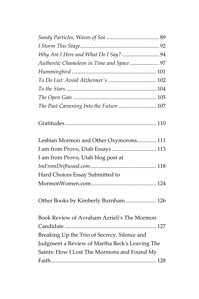| The Past Careening Into the Future  107        |  |
|------------------------------------------------|--|
|                                                |  |
| Lesbian Mormon and Other Oxymorons 111         |  |
| I am from Provo, Utah Essays  113              |  |
| I am from Provo, Utah blog post at             |  |
|                                                |  |
| Hard Choices Essay Submitted to                |  |
|                                                |  |
| Other Books by Kimberly Burnham  126           |  |
| Book Review of Avraham Azrieli's The Mormon    |  |
|                                                |  |
| Breaking Up the Trio of Secrecy, Silence and   |  |
| Judgment a Review of Martha Beck's Leaving The |  |
| Saints: How I Lost The Mormons and Found My    |  |
|                                                |  |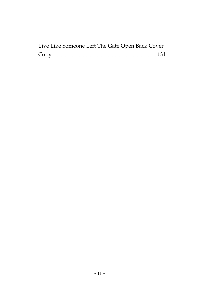| Live Like Someone Left The Gate Open Back Cover |  |
|-------------------------------------------------|--|
|                                                 |  |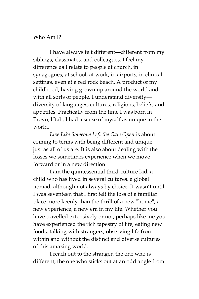#### <span id="page-11-0"></span>Who Am I?

I have always felt different--different from my siblings, classmates, and colleagues. I feel my difference as I relate to people at church, in synagogues, at school, at work, in airports, in clinical settings, even at a red rock beach. A product of my childhood, having grown up around the world and with all sorts of people, I understand diversitydiversity of languages, cultures, religions, beliefs, and appetites. Practically from the time I was born in Provo, Utah, I had a sense of myself as unique in the world.

*Live Like Someone Left the Gate Open* is about coming to terms with being different and unique–– just as all of us are. It is also about dealing with the losses we sometimes experience when we move forward or in a new direction.

I am the quintessential third-culture kid, a child who has lived in several cultures, a global nomad, although not always by choice. It wasn't until I was seventeen that I first felt the loss of a familiar place more keenly than the thrill of a new "home", a new experience, a new era in my life. Whether you have travelled extensively or not, perhaps like me you have experienced the rich tapestry of life, eating new foods, talking with strangers, observing life from within and without the distinct and diverse cultures of this amazing world.

I reach out to the stranger, the one who is different, the one who sticks out at an odd angle from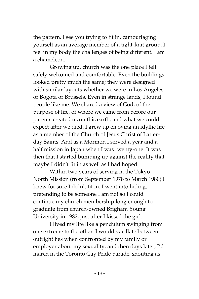the pattern. I see you trying to fit in, camouflaging yourself as an average member of a tight-knit group. I feel in my body the challenges of being different. I am a chameleon.

Growing up, church was the one place I felt safely welcomed and comfortable. Even the buildings looked pretty much the same; they were designed with similar layouts whether we were in Los Angeles or Bogota or Brussels. Even in strange lands, I found people like me. We shared a view of God, of the purpose of life, of where we came from before our parents created us on this earth, and what we could expect after we died. I grew up enjoying an idyllic life as a member of the Church of Jesus Christ of Latterday Saints. And as a Mormon I served a year and a half mission in Japan when I was twenty-one. It was then that I started bumping up against the reality that maybe I didn't fit in as well as I had hoped.

Within two years of serving in the Tokyo North Mission (from September 1978 to March 1980) I knew for sure I didn't fit in. I went into hiding, pretending to be someone I am not so I could continue my church membership long enough to graduate from church-owned Brigham Young University in 1982, just after I kissed the girl.

I lived my life like a pendulum swinging from one extreme to the other. I would vacillate between outright lies when confronted by my family or employer about my sexuality, and then days later, I'd march in the Toronto Gay Pride parade, shouting as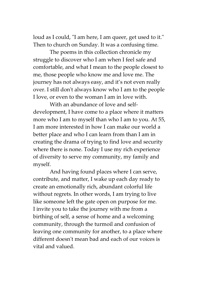loud as I could, "I am here, I am queer, get used to it." Then to church on Sunday. It was a confusing time.

The poems in this collection chronicle my struggle to discover who I am when I feel safe and comfortable, and what I mean to the people closest to me, those people who know me and love me. The journey has not always easy, and it's not even really over. I still don't always know who I am to the people I love, or even to the woman I am in love with.

With an abundance of love and selfdevelopment, I have come to a place where it matters more who I am to myself than who I am to you. At 55, I am more interested in how I can make our world a better place and who I can learn from than I am in creating the drama of trying to find love and security where there is none. Today I use my rich experience of diversity to serve my community, my family and myself.

And having found places where I can serve, contribute, and matter, I wake up each day ready to create an emotionally rich, abundant colorful life without regrets. In other words, I am trying to live like someone left the gate open on purpose for me. I invite you to take the journey with me from a birthing of self, a sense of home and a welcoming community, through the turmoil and confusion of leaving one community for another, to a place where different doesn't mean bad and each of our voices is vital and valued.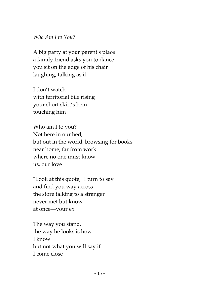<span id="page-14-0"></span>*Who Am I to You?*

A big party at your parent's place a family friend asks you to dance you sit on the edge of his chair laughing, talking as if

I don't watch with territorial bile rising your short skirt's hem touching him

Who am I to you? Not here in our bed, but out in the world, browsing for books near home, far from work where no one must know us, our love

"Look at this quote," I turn to say and find you way across the store talking to a stranger never met but know at once––your ex

The way you stand, the way he looks is how I know but not what you will say if I come close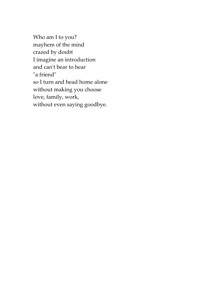Who am I to you? mayhem of the mind crazed by doubt I imagine an introduction and can't bear to hear "a friend" so I turn and head home alone without making you choose love, family, work, without even saying goodbye.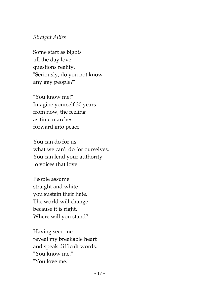## <span id="page-16-0"></span>*Straight Allies*

Some start as bigots till the day love questions reality. "Seriously, do you not know any gay people?"

"You know me!" Imagine yourself 30 years from now, the feeling as time marches forward into peace.

You can do for us what we can't do for ourselves. You can lend your authority to voices that love.

People assume straight and white you sustain their hate. The world will change because it is right. Where will you stand?

Having seen me reveal my breakable heart and speak difficult words. "You know me." "You love me."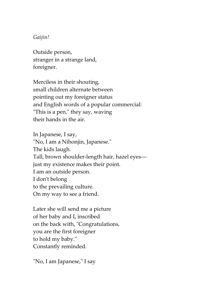## <span id="page-17-0"></span>*Gaijin!*

Outside person, stranger in a strange land, foreigner.

Merciless in their shouting, small children alternate between pointing out my foreigner status and English words of a popular commercial: "This is a pen," they say, waving their hands in the air.

In Japanese, I say, "No, I am a Nihonjin, Japanese." The kids laugh. Tall, brown shoulder-length hair, hazel eyes–– just my existence makes their point. I am an outside person. I don't belong to the prevailing culture. On my way to see a friend.

Later she will send me a picture of her baby and I, inscribed on the back with, "Congratulations, you are the first foreigner to hold my baby." Constantly reminded.

"No, I am Japanese," I say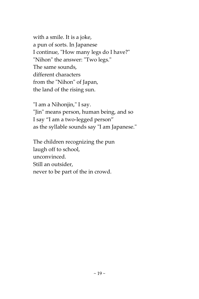with a smile. It is a joke, a pun of sorts. In Japanese I continue, "How many legs do I have?" "Nihon" the answer: "Two legs." The same sounds, different characters from the "Nihon" of Japan, the land of the rising sun.

"I am a Nihonjin," I say. "Jin" means person, human being, and so I say "I am a two-legged person" as the syllable sounds say "I am Japanese."

The children recognizing the pun laugh off to school, unconvinced. Still an outsider, never to be part of the in crowd.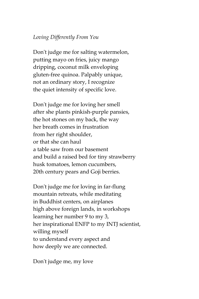# <span id="page-19-0"></span>*Loving Differently From You*

Don't judge me for salting watermelon, putting mayo on fries, juicy mango dripping, coconut milk enveloping gluten-free quinoa. Palpably unique, not an ordinary story, I recognize the quiet intensity of specific love.

Don't judge me for loving her smell after she plants pinkish-purple pansies, the hot stones on my back, the way her breath comes in frustration from her right shoulder, or that she can haul a table saw from our basement and build a raised bed for tiny strawberry husk tomatoes, lemon cucumbers, 20th century pears and Goji berries.

Don't judge me for loving in far-flung mountain retreats, while meditating in Buddhist centers, on airplanes high above foreign lands, in workshops learning her number 9 to my 3, her inspirational ENFP to my INTJ scientist, willing myself to understand every aspect and how deeply we are connected.

Don't judge me, my love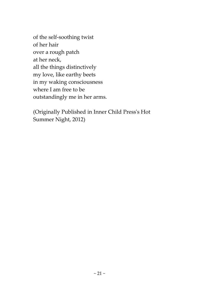of the self-soothing twist of her hair over a rough patch at her neck, all the things distinctively my love, like earthy beets in my waking consciousness where I am free to be outstandingly me in her arms.

(Originally Published in Inner Child Press's Hot Summer Night, 2012)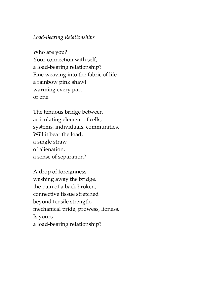#### <span id="page-21-0"></span>*Load-Bearing Relationships*

Who are you? Your connection with self, a load-bearing relationship? Fine weaving into the fabric of life a rainbow pink shawl warming every part of one.

The tenuous bridge between articulating element of cells, systems, individuals, communities. Will it bear the load, a single straw of alienation, a sense of separation?

A drop of foreignness washing away the bridge, the pain of a back broken, connective tissue stretched beyond tensile strength, mechanical pride, prowess, lioness. Is yours a load-bearing relationship?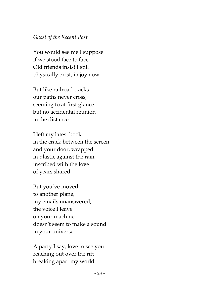### <span id="page-22-0"></span>*Ghost of the Recent Past*

You would see me I suppose if we stood face to face. Old friends insist I still physically exist, in joy now.

But like railroad tracks our paths never cross, seeming to at first glance but no accidental reunion in the distance.

I left my latest book in the crack between the screen and your door, wrapped in plastic against the rain, inscribed with the love of years shared.

But you've moved to another plane, my emails unanswered, the voice I leave on your machine doesn't seem to make a sound in your universe.

A party I say, love to see you reaching out over the rift breaking apart my world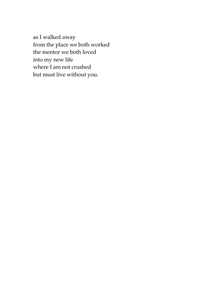as I walked away from the place we both worked the mentor we both loved into my new life where I am not crushed but must live without you.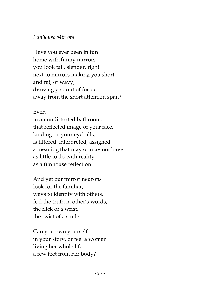# <span id="page-24-0"></span>*Funhouse Mirrors*

Have you ever been in fun home with funny mirrors you look tall, slender, right next to mirrors making you short and fat, or wavy, drawing you out of focus away from the short attention span?

# Even

in an undistorted bathroom, that reflected image of your face, landing on your eyeballs, is filtered, interpreted, assigned a meaning that may or may not have as little to do with reality as a funhouse reflection.

And yet our mirror neurons look for the familiar, ways to identify with others, feel the truth in other's words, the flick of a wrist, the twist of a smile.

Can you own yourself in your story, or feel a woman living her whole life a few feet from her body?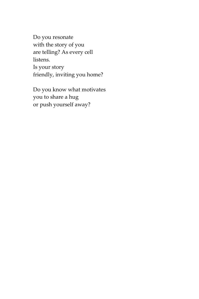Do you resonate with the story of you are telling? As every cell listens. Is your story friendly, inviting you home?

Do you know what motivates you to share a hug or push yourself away?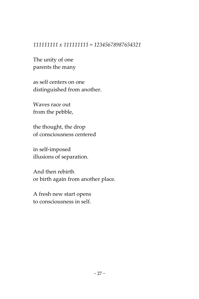#### <span id="page-26-0"></span>*111111111 x 111111111 = 12345678987654321*

The unity of one parents the many

as self centers on one distinguished from another.

Waves race out from the pebble,

the thought, the drop of consciousness centered

in self-imposed illusions of separation.

And then rebirth or birth again from another place.

A fresh new start opens to consciousness in self.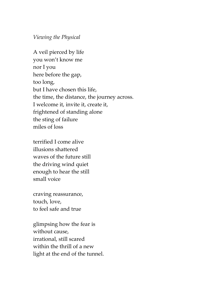#### <span id="page-27-0"></span>*Viewing the Physical*

A veil pierced by life you won't know me nor I you here before the gap, too long, but I have chosen this life, the time, the distance, the journey across. I welcome it, invite it, create it, frightened of standing alone the sting of failure miles of loss

terrified I come alive illusions shattered waves of the future still the driving wind quiet enough to hear the still small voice

craving reassurance, touch, love, to feel safe and true

glimpsing how the fear is without cause, irrational, still scared within the thrill of a new light at the end of the tunnel.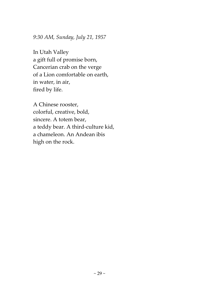## <span id="page-28-0"></span>*9:30 AM, Sunday, July 21, 1957*

In Utah Valley a gift full of promise born, Cancerian crab on the verge of a Lion comfortable on earth, in water, in air, fired by life.

A Chinese rooster, colorful, creative, bold, sincere. A totem bear, a teddy bear. A third-culture kid, a chameleon. An Andean ibis high on the rock.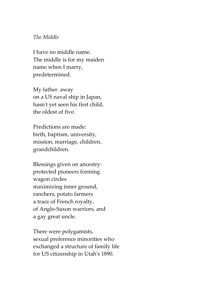#### <span id="page-29-0"></span>*The Middle*

I have no middle name. The middle is for my maiden name when I marry, predetermined.

My father. away on a US naval ship in Japan, hasn't yet seen his first child, the oldest of five.

Predictions are made: birth, baptism, university, mission, marriage, children, grandchildren.

Blessings given on ancestry: protected pioneers forming wagon circles maximizing inner ground, ranchers, potato farmers a trace of French royalty, of Anglo-Saxon warriors, and a gay great uncle.

There were polygamists, sexual preference minorities who exchanged a structure of family life for US citizenship in Utah's 1890.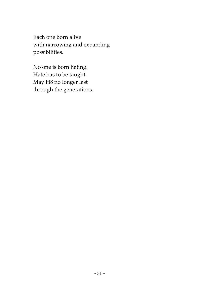Each one born alive with narrowing and expanding possibilities.

No one is born hating. Hate has to be taught. May H8 no longer last through the generations.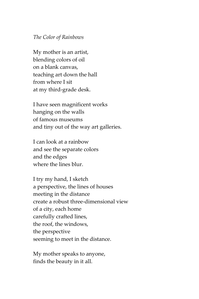#### <span id="page-31-0"></span>*The Color of Rainbows*

My mother is an artist, blending colors of oil on a blank canvas, teaching art down the hall from where I sit at my third-grade desk.

I have seen magnificent works hanging on the walls of famous museums and tiny out of the way art galleries.

I can look at a rainbow and see the separate colors and the edges where the lines blur.

I try my hand, I sketch a perspective, the lines of houses meeting in the distance create a robust three-dimensional view of a city, each home carefully crafted lines, the roof, the windows, the perspective seeming to meet in the distance.

My mother speaks to anyone, finds the beauty in it all.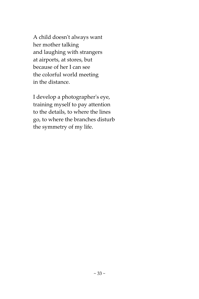A child doesn't always want her mother talking and laughing with strangers at airports, at stores, but because of her I can see the colorful world meeting in the distance.

I develop a photographer's eye, training myself to pay attention to the details, to where the lines go, to where the branches disturb the symmetry of my life.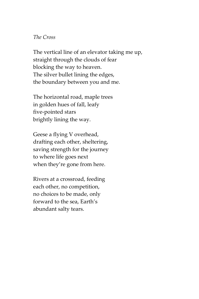#### <span id="page-33-0"></span>*The Cross*

The vertical line of an elevator taking me up, straight through the clouds of fear blocking the way to heaven. The silver bullet lining the edges, the boundary between you and me.

The horizontal road, maple trees in golden hues of fall, leafy five-pointed stars brightly lining the way.

Geese a flying V overhead, drafting each other, sheltering, saving strength for the journey to where life goes next when they're gone from here.

Rivers at a crossroad, feeding each other, no competition, no choices to be made, only forward to the sea, Earth's abundant salty tears.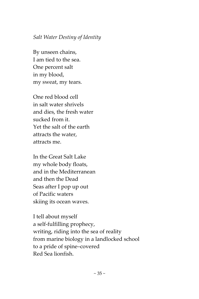# <span id="page-34-0"></span>*Salt Water Destiny of Identity*

By unseen chains, I am tied to the sea. One percent salt in my blood, my sweat, my tears.

One red blood cell in salt water shrivels and dies, the fresh water sucked from it. Yet the salt of the earth attracts the water, attracts me.

In the Great Salt Lake my whole body floats, and in the Mediterranean and then the Dead Seas after I pop up out of Pacific waters skiing its ocean waves.

I tell about myself a self-fulfilling prophecy, writing, riding into the sea of reality from marine biology in a landlocked school to a pride of spine–covered Red Sea lionfish.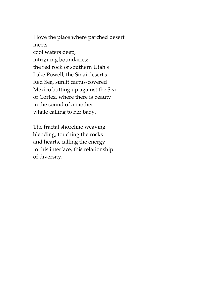I love the place where parched desert meets cool waters deep, intriguing boundaries: the red rock of southern Utah's Lake Powell, the Sinai desert's Red Sea, sunlit cactus-covered Mexico butting up against the Sea of Cortez, where there is beauty in the sound of a mother whale calling to her baby.

The fractal shoreline weaving blending, touching the rocks and hearts, calling the energy to this interface, this relationship of diversity.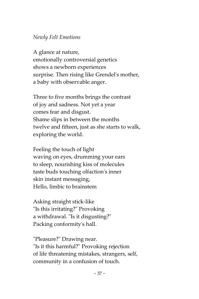## *Newly Felt Emotions*

A glance at nature, emotionally controversial genetics shows a newborn experiences surprise. Then rising like Grendel's mother, a baby with observable anger.

Three to five months brings the contrast of joy and sadness. Not yet a year comes fear and disgust. Shame slips in between the months twelve and fifteen, just as she starts to walk, exploring the world.

Feeling the touch of light waving on eyes, drumming your ears to sleep, nourishing kiss of molecules taste buds touching olfaction's inner skin instant messaging, Hello, limbic to brainstem

Asking straight stick-like "Is this irritating?" Provoking a withdrawal. "Is it disgusting?" Packing conformity's hall.

"Pleasure?" Drawing near. "Is it this harmful?" Provoking rejection of life threatening mistakes, strangers, self, community in a confusion of touch.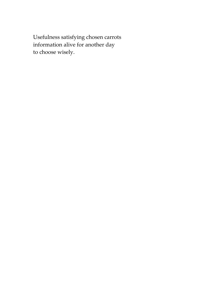Usefulness satisfying chosen carrots information alive for another day to choose wisely.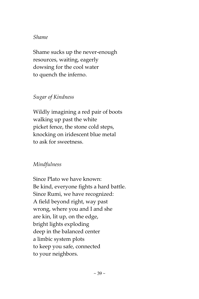### *Shame*

Shame sucks up the never-enough resources, waiting, eagerly dowsing for the cool water to quench the inferno.

# *Sugar of Kindness*

Wildly imagining a red pair of boots walking up past the white picket fence, the stone cold steps, knocking on iridescent blue metal to ask for sweetness.

# *Mindfulness*

Since Plato we have known: Be kind, everyone fights a hard battle. Since Rumi, we have recognized: A field beyond right, way past wrong, where you and I and she are kin, lit up, on the edge, bright lights exploding deep in the balanced center a limbic system plots to keep you safe, connected to your neighbors.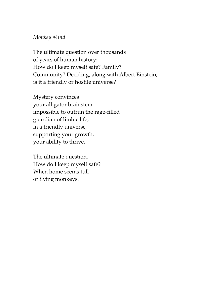### *Monkey Mind*

The ultimate question over thousands of years of human history: How do I keep myself safe? Family? Community? Deciding, along with Albert Einstein, is it a friendly or hostile universe?

Mystery convinces your alligator brainstem impossible to outrun the rage-filled guardian of limbic life, in a friendly universe, supporting your growth, your ability to thrive.

The ultimate question, How do I keep myself safe? When home seems full of flying monkeys.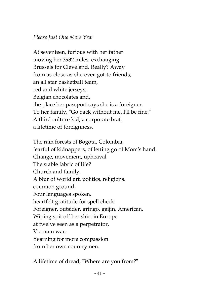## *Please Just One More Year*

At seventeen, furious with her father moving her 3932 miles, exchanging Brussels for Cleveland. Really? Away from as-close-as-she-ever-got-to friends, an all star basketball team, red and white jerseys, Belgian chocolates and, the place her passport says she is a foreigner. To her family, "Go back without me. I'll be fine." A third culture kid, a corporate brat, a lifetime of foreignness.

The rain forests of Bogota, Colombia, fearful of kidnappers, of letting go of Mom's hand. Change, movement, upheaval The stable fabric of life? Church and family. A blur of world art, politics, religions, common ground. Four languages spoken, heartfelt gratitude for spell check. Foreigner, outsider, gringo, gaijin, American. Wiping spit off her shirt in Europe at twelve seen as a perpetrator, Vietnam war. Yearning for more compassion from her own countrymen.

A lifetime of dread, "Where are you from?"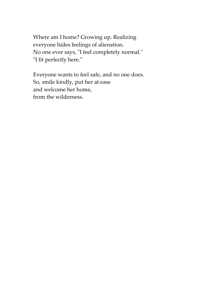Where am I home? Growing up. Realizing everyone hides feelings of alienation. No one ever says, "I feel completely normal." "I fit perfectly here."

Everyone wants to feel safe, and no one does. So, smile kindly, put her at ease and welcome her home, from the wilderness.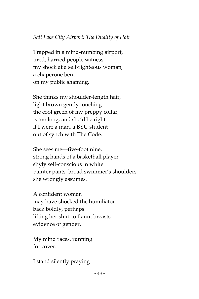# *Salt Lake City Airport: The Duality of Hair*

Trapped in a mind-numbing airport, tired, harried people witness my shock at a self-righteous woman, a chaperone bent on my public shaming.

She thinks my shoulder-length hair, light brown gently touching the cool green of my preppy collar, is too long, and she'd be right if I were a man, a BYU student out of synch with The Code.

She sees me––five-foot nine, strong hands of a basketball player, shyly self-conscious in white painter pants, broad swimmer's shoulders–– she wrongly assumes.

A confident woman may have shocked the humiliator back boldly, perhaps lifting her shirt to flaunt breasts evidence of gender.

My mind races, running for cover.

I stand silently praying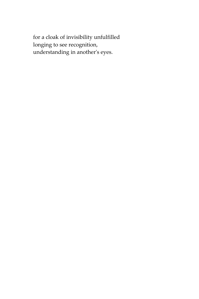for a cloak of invisibility unfulfilled longing to see recognition, understanding in another's eyes.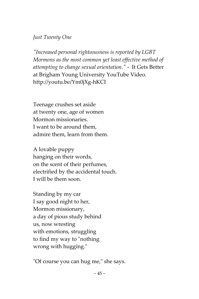*Just Twenty One*

*"Increased personal righteousness is reported by LGBT Mormons as the most common yet least effective method of attempting to change sexual orientation."* - It Gets Better at Brigham Young University YouTube Video. http://youtu.be/Ym0jXg-hKCI

Teenage crushes set aside at twenty one, age of women Mormon missionaries. I want to be around them, admire them, learn from them.

A lovable puppy hanging on their words, on the scent of their perfumes, electrified by the accidental touch. I will be them soon.

Standing by my car I say good night to her, Mormon missionary, a day of pious study behind us, now wresting with emotions, struggling to find my way to "nothing wrong with hugging."

"Of course you can hug me," she says.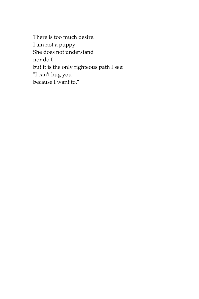There is too much desire. I am not a puppy. She does not understand nor do I but it is the only righteous path I see: "I can't hug you because I want to."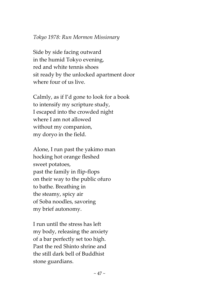### *Tokyo 1978: Run Mormon Missionary*

Side by side facing outward in the humid Tokyo evening, red and white tennis shoes sit ready by the unlocked apartment door where four of us live.

Calmly, as if I'd gone to look for a book to intensify my scripture study, I escaped into the crowded night where I am not allowed without my companion, my doryo in the field.

Alone, I run past the yakimo man hocking hot orange fleshed sweet potatoes, past the family in flip-flops on their way to the public ofuro to bathe. Breathing in the steamy, spicy air of Soba noodles, savoring my brief autonomy.

I run until the stress has left my body, releasing the anxiety of a bar perfectly set too high. Past the red Shinto shrine and the still dark bell of Buddhist stone guardians.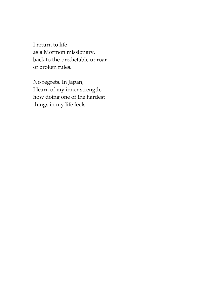I return to life as a Mormon missionary, back to the predictable uproar of broken rules.

No regrets. In Japan, I learn of my inner strength, how doing one of the hardest things in my life feels.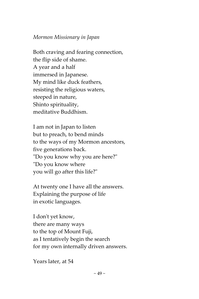## *Mormon Missionary in Japan*

Both craving and fearing connection, the flip side of shame. A year and a half immersed in Japanese. My mind like duck feathers, resisting the religious waters, steeped in nature, Shinto spirituality, meditative Buddhism.

I am not in Japan to listen but to preach, to bend minds to the ways of my Mormon ancestors, five generations back. "Do you know why you are here?" "Do you know where you will go after this life?"

At twenty one I have all the answers. Explaining the purpose of life in exotic languages.

I don't yet know, there are many ways to the top of Mount Fuji, as I tentatively begin the search for my own internally driven answers.

Years later, at 54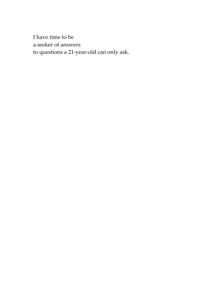I have time to be a seeker of answers to questions a 21-year-old can only ask.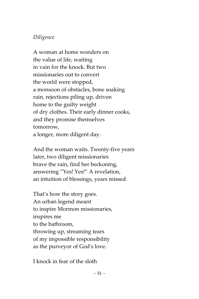# *Diligence*

A woman at home wonders on the value of life, waiting in vain for the knock. But two missionaries out to convert the world were stopped, a monsoon of obstacles, bone soaking rain, rejections piling up, driven home to the guilty weight of dry clothes. Their early dinner cooks, and they promise themselves tomorrow, a longer, more diligent day.

And the woman waits. Twenty-five years later, two diligent missionaries brave the rain, find her beckoning, answering "Yes! Yes!" A revelation, an intuition of blessings, years missed.

That's how the story goes. An urban legend meant to inspire Mormon missionaries, inspires me to the bathroom, throwing up, streaming tears of my impossible responsibility as the purveyor of God's love.

I knock in fear of the sloth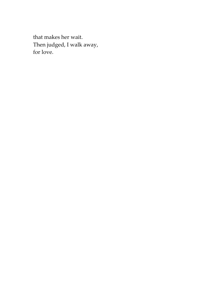that makes her wait. Then judged, I walk away, for love.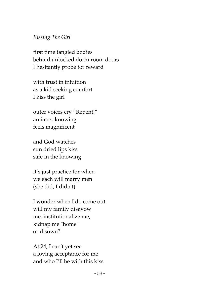### *Kissing The Girl*

first time tangled bodies behind unlocked dorm room doors I hesitantly probe for reward

with trust in intuition as a kid seeking comfort I kiss the girl

outer voices cry "Repent!" an inner knowing feels magnificent

and God watches sun dried lips kiss safe in the knowing

it's just practice for when we each will marry men (she did, I didn't)

I wonder when I do come out will my family disavow me, institutionalize me, kidnap me "home" or disown?

At 24, I can't yet see a loving acceptance for me and who I'll be with this kiss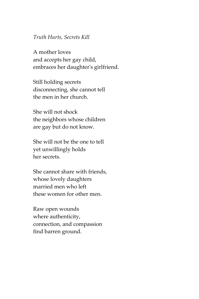#### *Truth Hurts, Secrets Kill*

A mother loves and accepts her gay child, embraces her daughter's girlfriend.

Still holding secrets disconnecting, she cannot tell the men in her church.

She will not shock the neighbors whose children are gay but do not know.

She will not be the one to tell yet unwillingly holds her secrets.

She cannot share with friends, whose lovely daughters married men who left these women for other men.

Raw open wounds where authenticity, connection, and compassion find barren ground.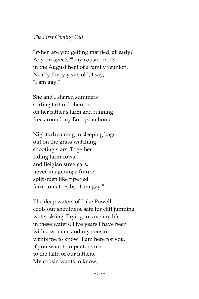## *The First Coming Out*

"When are you getting married, already? Any prospects?" my cousin prods in the August heat of a family reunion. Nearly thirty years old, I say, "I am gay."

She and I shared summers sorting tart red cherries on her father's farm and running free around my European home.

Nights dreaming in sleeping bags out on the grass watching shooting stars. Together riding farm cows and Belgian streetcars, never imagining a future split open like ripe red farm tomatoes by "I am gay."

The deep waters of Lake Powell cools our shoulders, safe for cliff jumping, water skiing. Trying to save my life in these waters. Five years I have been with a woman, and my cousin wants me to know "I am here for you, if you want to repent, return to the faith of our fathers." My cousin wants to know,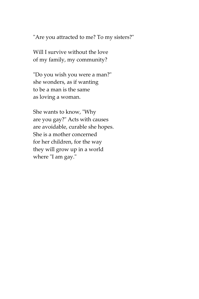"Are you attracted to me? To my sisters?"

Will I survive without the love of my family, my community?

"Do you wish you were a man?" she wonders, as if wanting to be a man is the same as loving a woman.

She wants to know, "Why are you gay?" Acts with causes are avoidable, curable she hopes. She is a mother concerned for her children, for the way they will grow up in a world where "I am gay."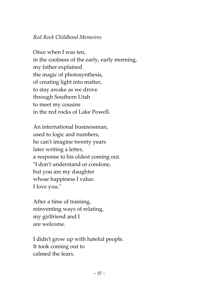# *Red Rock Childhood Memoires*

Once when I was ten, in the coolness of the early, early morning, my father explained the magic of photosynthesis, of creating light into matter, to stay awake as we drove through Southern Utah to meet my cousins in the red rocks of Lake Powell.

An international businessman, used to logic and numbers, he can't imagine twenty years later writing a letter, a response to his oldest coming out. "I don't understand or condone, but you are my daughter whose happiness I value. I love you."

After a time of training, reinventing ways of relating, my girlfriend and I are welcome.

I didn't grow up with hateful people. It took coming out to calmed the fears.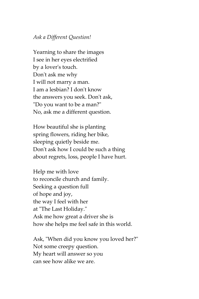### *Ask a Different Question!*

Yearning to share the images I see in her eyes electrified by a lover's touch. Don't ask me why I will not marry a man. I am a lesbian? I don't know the answers you seek. Don't ask, "Do you want to be a man?" No, ask me a different question.

How beautiful she is planting spring flowers, riding her bike, sleeping quietly beside me. Don't ask how I could be such a thing about regrets, loss, people I have hurt.

Help me with love to reconcile church and family. Seeking a question full of hope and joy, the way I feel with her at "The Last Holiday." Ask me how great a driver she is how she helps me feel safe in this world.

Ask, "When did you know you loved her?" Not some creepy question. My heart will answer so you can see how alike we are.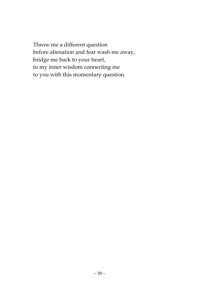Throw me a different question before alienation and fear wash me away, bridge me back to your heart, to my inner wisdom connecting me to you with this momentary question.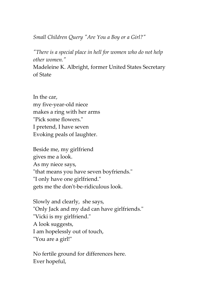*Small Children Query "Are You a Boy or a Girl?"*

*"There is a special place in hell for women who do not help other women."*

Madeleine K. Albright, former United States Secretary of State

In the car, my five-year-old niece makes a ring with her arms "Pick some flowers." I pretend, I have seven Evoking peals of laughter.

Beside me, my girlfriend gives me a look. As my niece says, "that means you have seven boyfriends." "I only have one girlfriend." gets me the don't-be-ridiculous look.

Slowly and clearly, she says, "Only Jack and my dad can have girlfriends." "Vicki is my girlfriend." A look suggests, I am hopelessly out of touch, "You are a girl!"

No fertile ground for differences here. Ever hopeful,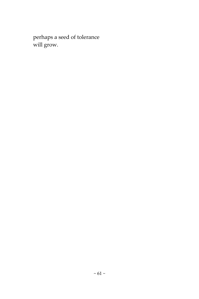perhaps a seed of tolerance will grow.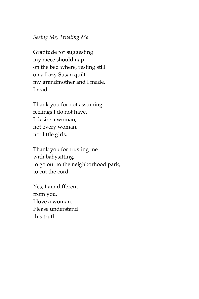### *Seeing Me, Trusting Me*

Gratitude for suggesting my niece should nap on the bed where, resting still on a Lazy Susan quilt my grandmother and I made, I read.

Thank you for not assuming feelings I do not have. I desire a woman, not every woman, not little girls.

Thank you for trusting me with babysitting, to go out to the neighborhood park, to cut the cord.

Yes, I am different from you. I love a woman. Please understand this truth.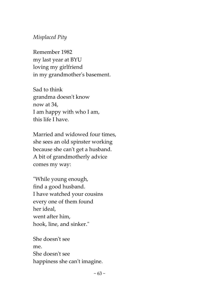# *Misplaced Pity*

Remember 1982 my last year at BYU loving my girlfriend in my grandmother's basement.

Sad to think grandma doesn't know now at 34, I am happy with who I am, this life I have.

Married and widowed four times, she sees an old spinster working because she can't get a husband. A bit of grandmotherly advice comes my way:

"While young enough, find a good husband. I have watched your cousins every one of them found her ideal, went after him, hook, line, and sinker."

She doesn't see me. She doesn't see happiness she can't imagine.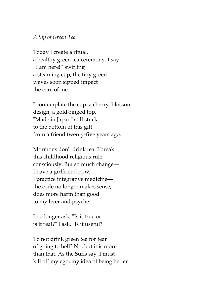### *A Sip of Green Tea*

Today I create a ritual, a healthy green tea ceremony. I say "I am here!" swirling a steaming cup, the tiny green waves soon sipped impact the core of me.

I contemplate the cup: a cherry–blossom design, a gold-ringed top, "Made in Japan" still stuck to the bottom of this gift from a friend twenty-five years ago.

Mormons don't drink tea. I break this childhood religious rule consciously. But so much change–– I have a girlfriend now, I practice integrative medicine–– the code no longer makes sense, does more harm than good to my liver and psyche.

I no longer ask, "Is it true or is it real?" I ask, "Is it useful?"

To not drink green tea for fear of going to hell? No, but it is more than that. As the Sufis say, I must kill off my ego, my idea of being better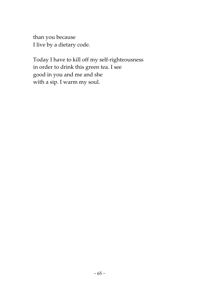than you because I live by a dietary code.

Today I have to kill off my self-righteousness in order to drink this green tea. I see good in you and me and she with a sip. I warm my soul.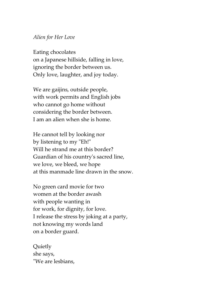### *Alien for Her Love*

Eating chocolates on a Japanese hillside, falling in love, ignoring the border between us. Only love, laughter, and joy today.

We are gaijins, outside people, with work permits and English jobs who cannot go home without considering the border between. I am an alien when she is home.

He cannot tell by looking nor by listening to my "Eh!" Will he strand me at this border? Guardian of his country's sacred line, we love, we bleed, we hope at this manmade line drawn in the snow.

No green card movie for two women at the border awash with people wanting in for work, for dignity, for love. I release the stress by joking at a party, not knowing my words land on a border guard.

Quietly she says, "We are lesbians,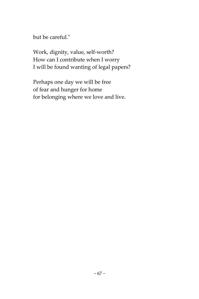but be careful."

Work, dignity, value, self-worth? How can I contribute when I worry I will be found wanting of legal papers?

Perhaps one day we will be free of fear and hunger for home for belonging where we love and live.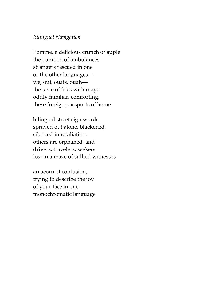### *Bilingual Navigation*

Pomme, a delicious crunch of apple the pampon of ambulances strangers rescued in one or the other languages–– we, oui, ouais, ouah–– the taste of fries with mayo oddly familiar, comforting, these foreign passports of home

bilingual street sign words sprayed out alone, blackened, silenced in retaliation, others are orphaned, and drivers, travelers, seekers lost in a maze of sullied witnesses

an acorn of confusion, trying to describe the joy of your face in one monochromatic language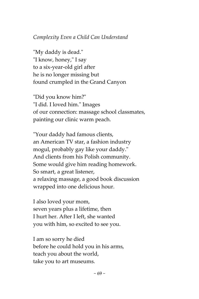# *Complexity Even a Child Can Understand*

"My daddy is dead." "I know, honey," I say to a six-year-old girl after he is no longer missing but found crumpled in the Grand Canyon

"Did you know him?" "I did. I loved him." Images of our connection: massage school classmates, painting our clinic warm peach.

"Your daddy had famous clients, an American TV star, a fashion industry mogul, probably gay like your daddy." And clients from his Polish community. Some would give him reading homework. So smart, a great listener, a relaxing massage, a good book discussion wrapped into one delicious hour.

I also loved your mom, seven years plus a lifetime, then I hurt her. After I left, she wanted you with him, so excited to see you.

I am so sorry he died before he could hold you in his arms, teach you about the world, take you to art museums.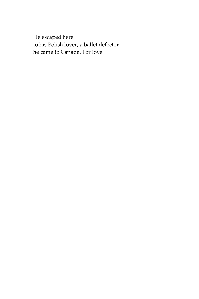He escaped here to his Polish lover, a ballet defector he came to Canada. For love.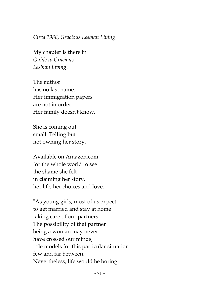*Circa 1988, Gracious Lesbian Living*

My chapter is there in *Guide to Gracious Lesbian Living*.

The author has no last name. Her immigration papers are not in order. Her family doesn't know.

She is coming out small. Telling but not owning her story.

Available on Amazon.com for the whole world to see the shame she felt in claiming her story, her life, her choices and love.

"As young girls, most of us expect to get married and stay at home taking care of our partners. The possibility of that partner being a woman may never have crossed our minds, role models for this particular situation few and far between. Nevertheless, life would be boring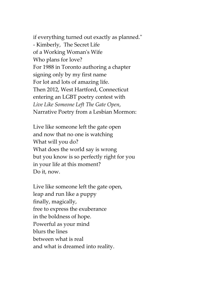if everything turned out exactly as planned." - Kimberly, The Secret Life of a Working Woman's Wife Who plans for love? For 1988 in Toronto authoring a chapter signing only by my first name For lot and lots of amazing life. Then 2012, West Hartford, Connecticut entering an LGBT poetry contest with *Live Like Someone Left The Gate Open*, Narrative Poetry from a Lesbian Mormon:

Live like someone left the gate open and now that no one is watching What will you do? What does the world say is wrong but you know is so perfectly right for you in your life at this moment? Do it, now.

Live like someone left the gate open, leap and run like a puppy finally, magically, free to express the exuberance in the boldness of hope. Powerful as your mind blurs the lines between what is real and what is dreamed into reality.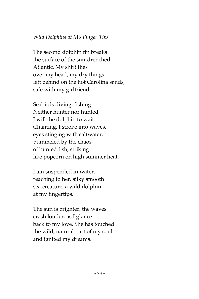# *Wild Dolphins at My Finger Tips*

The second dolphin fin breaks the surface of the sun-drenched Atlantic. My shirt flies over my head, my dry things left behind on the hot Carolina sands, safe with my girlfriend.

Seabirds diving, fishing. Neither hunter nor hunted, I will the dolphin to wait. Chanting, I stroke into waves, eyes stinging with saltwater, pummeled by the chaos of hunted fish, striking like popcorn on high summer heat.

I am suspended in water, reaching to her, silky smooth sea creature, a wild dolphin at my fingertips.

The sun is brighter, the waves crash louder, as I glance back to my love. She has touched the wild, natural part of my soul and ignited my dreams.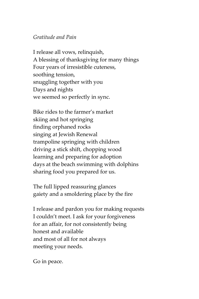### *Gratitude and Pain*

I release all vows, relinquish, A blessing of thanksgiving for many things Four years of irresistible cuteness, soothing tension, snuggling together with you Days and nights we seemed so perfectly in sync.

Bike rides to the farmer's market skiing and hot springing finding orphaned rocks singing at Jewish Renewal trampoline springing with children driving a stick shift, chopping wood learning and preparing for adoption days at the beach swimming with dolphins sharing food you prepared for us.

The full lipped reassuring glances gaiety and a smoldering place by the fire

I release and pardon you for making requests I couldn't meet. I ask for your forgiveness for an affair, for not consistently being honest and available and most of all for not always meeting your needs.

Go in peace.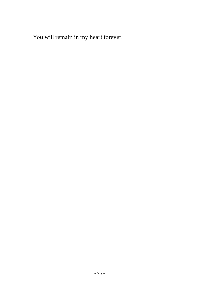You will remain in my heart forever.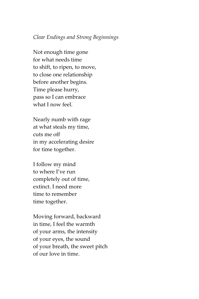### *Clear Endings and Strong Beginnings*

Not enough time gone for what needs time to shift, to ripen, to move, to close one relationship before another begins. Time please hurry, pass so I can embrace what I now feel.

Nearly numb with rage at what steals my time, cuts me off in my accelerating desire for time together.

I follow my mind to where I've run completely out of time, extinct. I need more time to remember time together.

Moving forward, backward in time, I feel the warmth of your arms, the intensity of your eyes, the sound of your breath, the sweet pitch of our love in time.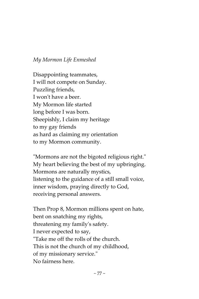### *My Mormon Life Enmeshed*

Disappointing teammates, I will not compete on Sunday. Puzzling friends, I won't have a beer. My Mormon life started long before I was born. Sheepishly, I claim my heritage to my gay friends as hard as claiming my orientation to my Mormon community.

"Mormons are not the bigoted religious right." My heart believing the best of my upbringing. Mormons are naturally mystics, listening to the guidance of a still small voice, inner wisdom, praying directly to God, receiving personal answers.

Then Prop 8, Mormon millions spent on hate, bent on snatching my rights, threatening my family's safety. I never expected to say, "Take me off the rolls of the church. This is not the church of my childhood, of my missionary service." No fairness here.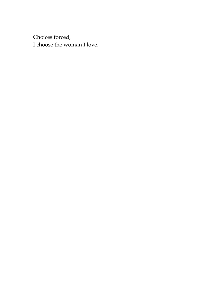Choices forced, I choose the woman I love.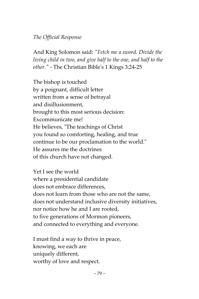# *The Official Response*

And King Solomon said: *"Fetch me a sword. Divide the living child in two, and give half to the one, and half to the other."* - The Christian Bible's 1 Kings 3:24-25

The bishop is touched by a poignant, difficult letter written from a sense of betrayal and disillusionment, brought to this most serious decision: Excommunicate me! He believes, "The teachings of Christ you found so comforting, healing, and true continue to be our proclamation to the world." He assures me the doctrines of this church have not changed.

Yet I see the world where a presidential candidate does not embrace differences, does not learn from those who are not the same, does not understand inclusive diversity initiatives, nor notice how he and I are rooted, to five generations of Mormon pioneers, and connected to everything and everyone.

I must find a way to thrive in peace, knowing, we each are uniquely different, worthy of love and respect.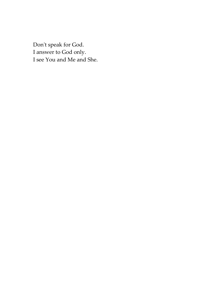Don't speak for God. I answer to God only. I see You and Me and She.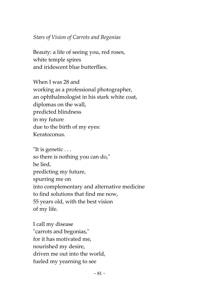## *Stars of Vision of Carrots and Begonias*

Beauty: a life of seeing you, red roses, white temple spires and iridescent blue butterflies.

When I was 28 and working as a professional photographer, an ophthalmologist in his stark white coat, diplomas on the wall, predicted blindness in my future due to the birth of my eyes: Keratoconus.

"It is genetic . . . so there is nothing you can do," he lied, predicting my future, spurring me on into complementary and alternative medicine to find solutions that find me now, 55 years old, with the best vision of my life.

I call my disease "carrots and begonias," for it has motivated me, nourished my desire, driven me out into the world, fueled my yearning to see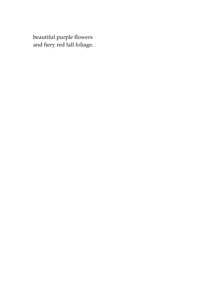beautiful purple flowers and fiery red fall foliage.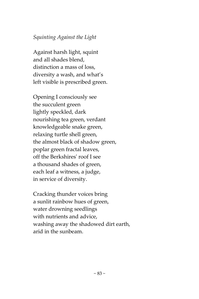## *Squinting Against the Light*

Against harsh light, squint and all shades blend, distinction a mass of loss, diversity a wash, and what's left visible is prescribed green.

Opening I consciously see the succulent green lightly speckled, dark nourishing tea green, verdant knowledgeable snake green, relaxing turtle shell green, the almost black of shadow green, poplar green fractal leaves, off the Berkshires' roof I see a thousand shades of green, each leaf a witness, a judge, in service of diversity.

Cracking thunder voices bring a sunlit rainbow hues of green, water drowning seedlings with nutrients and advice, washing away the shadowed dirt earth, arid in the sunbeam.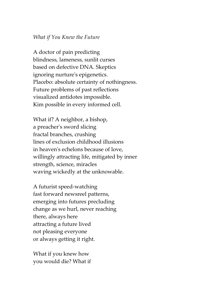#### *What if You Knew the Future*

A doctor of pain predicting blindness, lameness, sunlit curses based on defective DNA. Skeptics ignoring nurture's epigenetics. Placebo: absolute certainty of nothingness. Future problems of past reflections visualized antidotes impossible. Kim possible in every informed cell.

What if? A neighbor, a bishop, a preacher's sword slicing fractal branches, crushing lines of exclusion childhood illusions in heaven's echelons because of love, willingly attracting life, mitigated by inner strength, science, miracles waving wickedly at the unknowable.

A futurist speed-watching fast forward newsreel patterns, emerging into futures precluding change as we hurl, never reaching there, always here attracting a future lived not pleasing everyone or always getting it right.

What if you knew how you would die? What if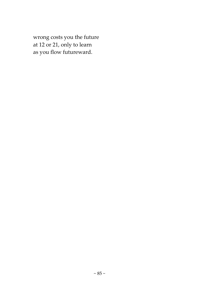wrong costs you the future at 12 or 21, only to learn as you flow futureward.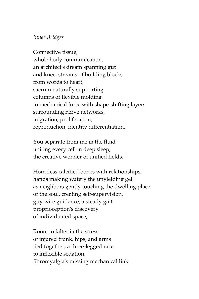### *Inner Bridges*

Connective tissue, whole body communication, an architect's dream spanning gut and knee, streams of building blocks from words to heart, sacrum naturally supporting columns of flexible molding to mechanical force with shape-shifting layers surrounding nerve networks, migration, proliferation, reproduction, identity differentiation.

You separate from me in the fluid uniting every cell in deep sleep, the creative wonder of unified fields.

Homeless calcified bones with relationships, hands making watery the unyielding gel as neighbors gently touching the dwelling place of the soul, creating self-supervision, guy wire guidance, a steady gait, proprioception's discovery of individuated space,

Room to falter in the stress of injured trunk, hips, and arms tied together, a three-legged race to inflexible sedation, fibromyalgia's missing mechanical link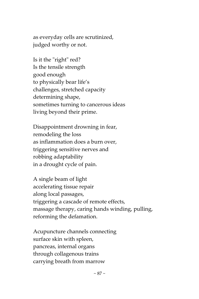as everyday cells are scrutinized, judged worthy or not.

Is it the "right" red? Is the tensile strength good enough to physically bear life's challenges, stretched capacity determining shape, sometimes turning to cancerous ideas living beyond their prime.

Disappointment drowning in fear, remodeling the loss as inflammation does a burn over, triggering sensitive nerves and robbing adaptability in a drought cycle of pain.

A single beam of light accelerating tissue repair along local passages, triggering a cascade of remote effects, massage therapy, caring hands winding, pulling, reforming the defamation.

Acupuncture channels connecting surface skin with spleen, pancreas, internal organs through collagenous trains carrying breath from marrow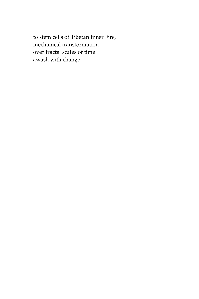to stem cells of Tibetan Inner Fire, mechanical transformation over fractal scales of time awash with change.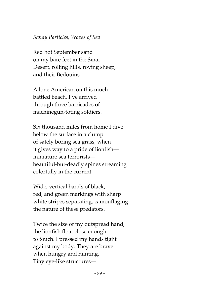### *Sandy Particles, Waves of Sea*

Red hot September sand on my bare feet in the Sinai Desert, rolling hills, roving sheep, and their Bedouins.

A lone American on this muchbattled beach, I've arrived through three barricades of machinegun-toting soldiers.

Six thousand miles from home I dive below the surface in a clump of safely boring sea grass, when it gives way to a pride of lionfish–– miniature sea terrorists–– beautiful-but-deadly spines streaming colorfully in the current.

Wide, vertical bands of black, red, and green markings with sharp white stripes separating, camouflaging the nature of these predators.

Twice the size of my outspread hand, the lionfish float close enough to touch. I pressed my hands tight against my body. They are brave when hungry and hunting. Tiny eye-like structures––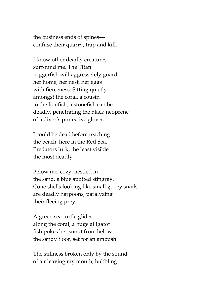the business ends of spines–– confuse their quarry, trap and kill.

I know other deadly creatures surround me. The Titan triggerfish will aggressively guard her home, her nest, her eggs with fierceness. Sitting quietly amongst the coral, a cousin to the lionfish, a stonefish can be deadly, penetrating the black neoprene of a diver's protective gloves.

I could be dead before reaching the beach, here in the Red Sea. Predators lurk, the least visible the most deadly.

Below me, cozy, nestled in the sand, a blue spotted stingray. Cone shells looking like small gooey snails are deadly harpoons, paralyzing their fleeing prey.

A green sea turtle glides along the coral, a huge alligator fish pokes her snout from below the sandy floor, set for an ambush.

The stillness broken only by the sound of air leaving my mouth, bubbling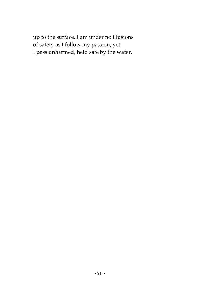up to the surface. I am under no illusions of safety as I follow my passion, yet I pass unharmed, held safe by the water.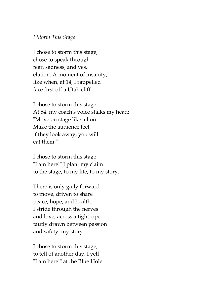#### *I Storm This Stage*

I chose to storm this stage, chose to speak through fear, sadness, and yes, elation. A moment of insanity, like when, at 14, I rappelled face first off a Utah cliff.

I chose to storm this stage. At 54, my coach's voice stalks my head: "Move on stage like a lion. Make the audience feel, if they look away, you will eat them."

I chose to storm this stage. "I am here!" I plant my claim to the stage, to my life, to my story.

There is only gaily forward to move, driven to share peace, hope, and health. I stride through the nerves and love, across a tightrope tautly drawn between passion and safety: my story.

I chose to storm this stage, to tell of another day. I yell "I am here!" at the Blue Hole.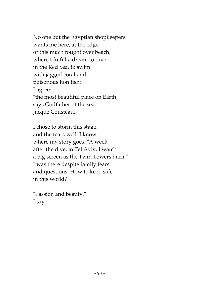No one but the Egyptian shopkeepers wants me here, at the edge of this much fought over beach, where I fulfill a dream to dive in the Red Sea, to swim with jagged coral and poisonous lion fish: I agree: "the most beautiful place on Earth," says Godfather of the sea, Jacque Cousteau.

I chose to storm this stage, and the tears well. I know where my story goes. "A week after the dive, in Tel Aviv, I watch a big screen as the Twin Towers burn." I was there despite family fears and questions: How to keep safe in this world?

"Passion and beauty," I say......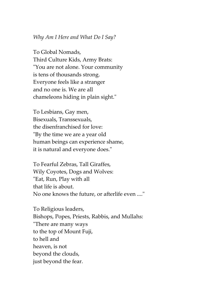#### *Why Am I Here and What Do I Say?*

To Global Nomads, Third Culture Kids, Army Brats: "You are not alone. Your community is tens of thousands strong. Everyone feels like a stranger and no one is. We are all chameleons hiding in plain sight."

To Lesbians, Gay men, Bisexuals, Transsexuals, the disenfranchised for love: "By the time we are a year old human beings can experience shame, it is natural and everyone does."

To Fearful Zebras, Tall Giraffes, Wily Coyotes, Dogs and Wolves: "Eat, Run, Play with all that life is about. No one knows the future, or afterlife even ...."

To Religious leaders, Bishops, Popes, Priests, Rabbis, and Mullahs: "There are many ways to the top of Mount Fuji, to hell and heaven, is not beyond the clouds, just beyond the fear.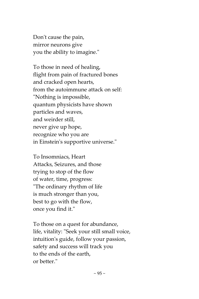Don't cause the pain, mirror neurons give you the ability to imagine."

To those in need of healing, flight from pain of fractured bones and cracked open hearts, from the autoimmune attack on self: "Nothing is impossible, quantum physicists have shown particles and waves, and weirder still, never give up hope, recognize who you are in Einstein's supportive universe."

To Insomniacs, Heart Attacks, Seizures, and those trying to stop of the flow of water, time, progress: "The ordinary rhythm of life is much stronger than you, best to go with the flow, once you find it."

To those on a quest for abundance, life, vitality: "Seek your still small voice, intuition's guide, follow your passion, safety and success will track you to the ends of the earth, or better."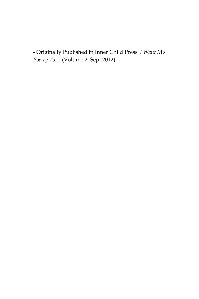- Originally Published in Inner Child Press' *I Want My Poetry To....* (Volume 2, Sept 2012)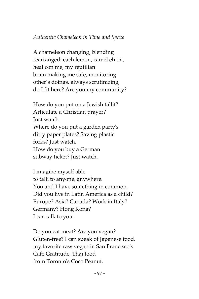## *Authentic Chameleon in Time and Space*

A chameleon changing, blending rearranged: each lemon, camel eh on, heal con me, my reptilian brain making me safe, monitoring other's doings, always scrutinizing, do I fit here? Are you my community?

How do you put on a Jewish tallit? Articulate a Christian prayer? Just watch. Where do you put a garden party's dirty paper plates? Saving plastic forks? Just watch. How do you buy a German subway ticket? Just watch.

I imagine myself able to talk to anyone, anywhere. You and I have something in common. Did you live in Latin America as a child? Europe? Asia? Canada? Work in Italy? Germany? Hong Kong? I can talk to you.

Do you eat meat? Are you vegan? Gluten-free? I can speak of Japanese food, my favorite raw vegan in San Francisco's Cafe Gratitude, Thai food from Toronto's Coco Peanut.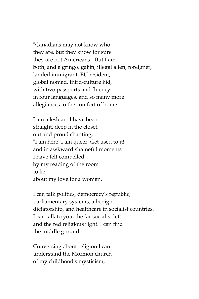"Canadians may not know who they are, but they know for sure they are not Americans." But I am both, and a gringo, gaijin, illegal alien, foreigner, landed immigrant, EU resident, global nomad, third-culture kid, with two passports and fluency in four languages, and so many more allegiances to the comfort of home.

I am a lesbian. I have been straight, deep in the closet, out and proud chanting, "I am here! I am queer! Get used to it!" and in awkward shameful moments I have felt compelled by my reading of the room to lie about my love for a woman.

I can talk politics, democracy's republic, parliamentary systems, a benign dictatorship, and healthcare in socialist countries. I can talk to you, the far socialist left and the red religious right. I can find the middle ground.

Conversing about religion I can understand the Mormon church of my childhood's mysticism,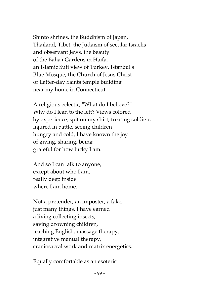Shinto shrines, the Buddhism of Japan, Thailand, Tibet, the Judaism of secular Israelis and observant Jews, the beauty of the Baha'i Gardens in Haifa, an Islamic Sufi view of Turkey, Istanbul's Blue Mosque, the Church of Jesus Christ of Latter-day Saints temple building near my home in Connecticut.

A religious eclectic, "What do I believe?" Why do I lean to the left? Views colored by experience, spit on my shirt, treating soldiers injured in battle, seeing children hungry and cold, I have known the joy of giving, sharing, being grateful for how lucky I am.

And so I can talk to anyone, except about who I am, really deep inside where I am home.

Not a pretender, an imposter, a fake, just many things. I have earned a living collecting insects, saving drowning children, teaching English, massage therapy, integrative manual therapy, craniosacral work and matrix energetics.

Equally comfortable as an esoteric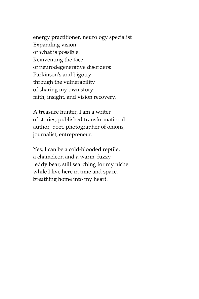energy practitioner, neurology specialist Expanding vision of what is possible. Reinventing the face of neurodegenerative disorders: Parkinson's and bigotry through the vulnerability of sharing my own story: faith, insight, and vision recovery.

A treasure hunter, I am a writer of stories, published transformational author, poet, photographer of onions, journalist, entrepreneur.

Yes, I can be a cold-blooded reptile, a chameleon and a warm, fuzzy teddy bear, still searching for my niche while I live here in time and space, breathing home into my heart.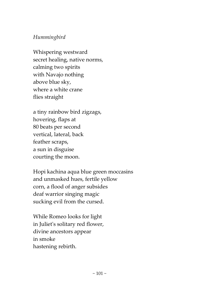# *Hummingbird*

Whispering westward secret healing, native norms, calming two spirits with Navajo nothing above blue sky, where a white crane flies straight

a tiny rainbow bird zigzags, hovering, flaps at 80 beats per second vertical, lateral, back feather scraps, a sun in disguise courting the moon.

Hopi kachina aqua blue green moccasins and unmasked hues, fertile yellow corn, a flood of anger subsides deaf warrior singing magic sucking evil from the cursed.

While Romeo looks for light in Juliet's solitary red flower, divine ancestors appear in smoke hastening rebirth.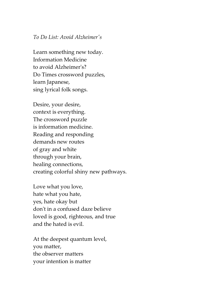#### *To Do List: Avoid Alzheimer's*

Learn something new today. Information Medicine to avoid Alzheimer's? Do Times crossword puzzles, learn Japanese, sing lyrical folk songs.

Desire, your desire, context is everything. The crossword puzzle is information medicine. Reading and responding demands new routes of gray and white through your brain, healing connections, creating colorful shiny new pathways.

Love what you love, hate what you hate, yes, hate okay but don't in a confused daze believe loved is good, righteous, and true and the hated is evil.

At the deepest quantum level, you matter, the observer matters your intention is matter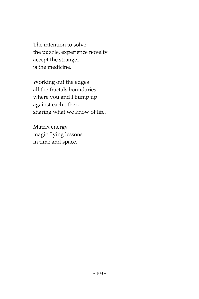The intention to solve the puzzle, experience novelty accept the stranger is the medicine.

Working out the edges all the fractals boundaries where you and I bump up against each other, sharing what we know of life.

Matrix energy magic flying lessons in time and space.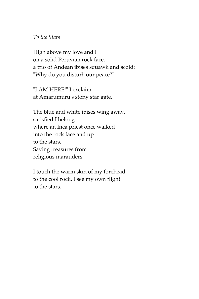*To the Stars*

High above my love and I on a solid Peruvian rock face, a trio of Andean ibises squawk and scold: "Why do you disturb our peace?"

"I AM HERE!" I exclaim at Amarumuru's stony star gate.

The blue and white ibises wing away, satisfied I belong where an Inca priest once walked into the rock face and up to the stars. Saving treasures from religious marauders.

I touch the warm skin of my forehead to the cool rock. I see my own flight to the stars.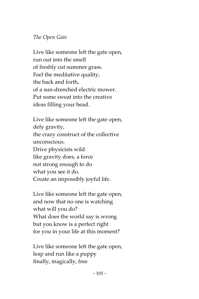## *The Open Gate*

Live like someone left the gate open, run out into the smell of freshly cut summer grass. Feel the meditative quality, the back and forth, of a sun-drenched electric mower. Put some sweat into the creative ideas filling your head.

Live like someone left the gate open, defy gravity, the crazy construct of the collective unconscious. Drive physicists wild like gravity does, a force not strong enough to do what you see it do. Create an impossibly joyful life.

Live like someone left the gate open, and now that no one is watching what will you do? What does the world say is wrong but you know is a perfect right for you in your life at this moment?

Live like someone left the gate open, leap and run like a puppy finally, magically, free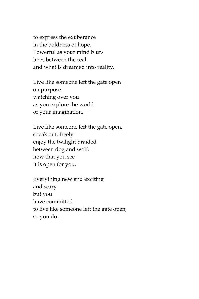to express the exuberance in the boldness of hope. Powerful as your mind blurs lines between the real and what is dreamed into reality.

Live like someone left the gate open on purpose watching over you as you explore the world of your imagination.

Live like someone left the gate open, sneak out, freely enjoy the twilight braided between dog and wolf, now that you see it is open for you.

Everything new and exciting and scary but you have committed to live like someone left the gate open, so you do.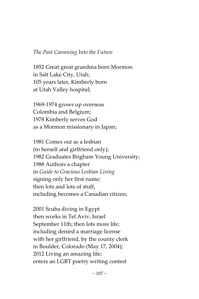### *The Past Careening Into the Future*

1852 Great great grandma born Mormon in Salt Lake City, Utah; 105 years later, Kimberly born at Utah Valley hospital;

1969-1974 grows up overseas Colombia and Belgium; 1978 Kimberly serves God as a Mormon missionary in Japan;

1981 Comes out as a lesbian (to herself and girlfriend only); 1982 Graduates Brigham Young University; 1988 Authors a chapter in *Guide to Gracious Lesbian Living* signing only her first name; then lots and lots of stuff, including becomes a Canadian citizen;

2001 Scuba diving in Egypt then works in Tel Aviv, Israel September 11th; then lots more life; including denied a marriage license with her girlfriend, by the county clerk in Boulder, Colorado (May 17, 2004); 2012 Living an amazing life; enters an LGBT poetry writing contest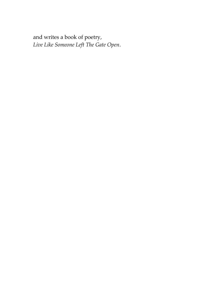and writes a book of poetry, *Live Like Someone Left The Gate Open*.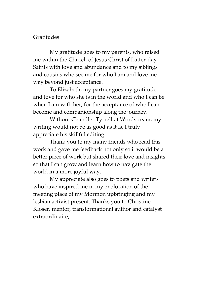## Gratitudes

My gratitude goes to my parents, who raised me within the Church of Jesus Christ of Latter-day Saints with love and abundance and to my siblings and cousins who see me for who I am and love me way beyond just acceptance.

To Elizabeth, my partner goes my gratitude and love for who she is in the world and who I can be when I am with her, for the acceptance of who I can become and companionship along the journey.

Without Chandler Tyrrell at Wordstream, my writing would not be as good as it is. I truly appreciate his skillful editing.

Thank you to my many friends who read this work and gave me feedback not only so it would be a better piece of work but shared their love and insights so that I can grow and learn how to navigate the world in a more joyful way.

My appreciate also goes to poets and writers who have inspired me in my exploration of the meeting place of my Mormon upbringing and my lesbian activist present. Thanks you to Christine Kloser, mentor, transformational author and catalyst extraordinaire;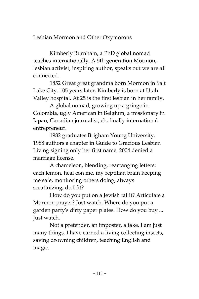## Lesbian Mormon and Other Oxymorons

Kimberly Burnham, a PhD global nomad teaches internationally. A 5th generation Mormon, lesbian activist, inspiring author, speaks out we are all connected.

1852 Great great grandma born Mormon in Salt Lake City. 105 years later, Kimberly is born at Utah Valley hospital. At 25 is the first lesbian in her family.

A global nomad, growing up a gringo in Colombia, ugly American in Belgium, a missionary in Japan, Canadian journalist, eh, finally international entrepreneur.

1982 graduates Brigham Young University. 1988 authors a chapter in Guide to Gracious Lesbian Living signing only her first name. 2004 denied a marriage license.

A chameleon, blending, rearranging letters: each lemon, heal con me, my reptilian brain keeping me safe, monitoring others doing, always scrutinizing, do I fit?

How do you put on a Jewish tallit? Articulate a Mormon prayer? Just watch. Where do you put a garden party's dirty paper plates. How do you buy ... Just watch.

Not a pretender, an imposter, a fake, I am just many things. I have earned a living collecting insects, saving drowning children, teaching English and magic.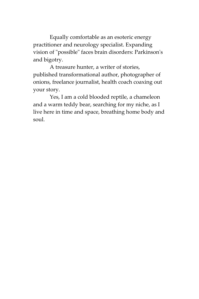Equally comfortable as an esoteric energy practitioner and neurology specialist. Expanding vision of "possible" faces brain disorders: Parkinson's and bigotry.

A treasure hunter, a writer of stories, published transformational author, photographer of onions, freelance journalist, health coach coaxing out your story.

Yes, I am a cold blooded reptile, a chameleon and a warm teddy bear, searching for my niche, as I live here in time and space, breathing home body and soul.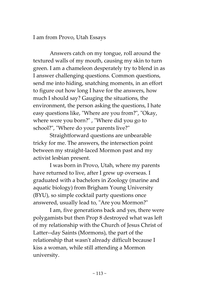I am from Provo, Utah Essays

Answers catch on my tongue, roll around the textured walls of my mouth, causing my skin to turn green. I am a chameleon desperately try to blend in as I answer challenging questions. Common questions, send me into hiding, snatching moments, in an effort to figure out how long I have for the answers, how much I should say? Gauging the situations, the environment, the person asking the questions, I hate easy questions like, "Where are you from?", "Okay, where were you born?" , "Where did you go to school?", "Where do your parents live?"

Straightforward questions are unbearable tricky for me. The answers, the intersection point between my straight-laced Mormon past and my activist lesbian present.

I was born in Provo, Utah, where my parents have returned to live, after I grew up overseas. I graduated with a bachelors in Zoology (marine and aquatic biology) from Brigham Young University (BYU), so simple cocktail party questions once answered, usually lead to, "Are you Mormon?"

I am, five generations back and yes, there were polygamists but then Prop 8 destroyed what was left of my relationship with the Church of Jesus Christ of Latter--day Saints (Mormons), the part of the relationship that wasn't already difficult because I kiss a woman, while still attending a Mormon university.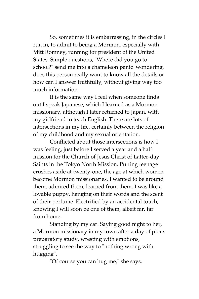So, sometimes it is embarrassing, in the circles I run in, to admit to being a Mormon, especially with Mitt Romney, running for president of the United States. Simple questions, "Where did you go to school?" send me into a chameleon panic wondering, does this person really want to know all the details or how can I answer truthfully, without giving way too much information.

It is the same way I feel when someone finds out I speak Japanese, which I learned as a Mormon missionary, although I later returned to Japan, with my girlfriend to teach English. There are lots of intersections in my life, certainly between the religion of my childhood and my sexual orientation.

Conflicted about those intersections is how I was feeling, just before I served a year and a half mission for the Church of Jesus Christ of Latter-day Saints in the Tokyo North Mission. Putting teenage crushes aside at twenty-one, the age at which women become Mormon missionaries, I wanted to be around them, admired them, learned from them. I was like a lovable puppy, hanging on their words and the scent of their perfume. Electrified by an accidental touch, knowing I will soon be one of them, albeit far, far from home.

Standing by my car. Saying good night to her, a Mormon missionary in my town after a day of pious preparatory study, wresting with emotions, struggling to see the way to "nothing wrong with hugging".

"Of course you can hug me," she says.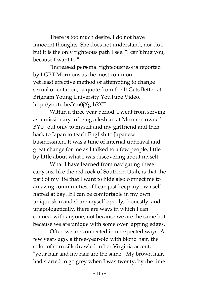There is too much desire. I do not have innocent thoughts. She does not understand, nor do I but it is the only righteous path I see. "I can't hug you, because I want to."

"Increased personal righteousness is reported by LGBT Mormons as the most common yet least effective method of attempting to change sexual orientation," a quote from the It Gets Better at Brigham Young University YouTube Video. http://youtu.be/Ym0jXg-hKCI

Within a three year period, I went from serving as a missionary to being a lesbian at Mormon owned BYU, out only to myself and my girlfriend and then back to Japan to teach English to Japanese businessmen. It was a time of internal upheaval and great change for me as I talked to a few people, little by little about what I was discovering about myself.

What I have learned from navigating these canyons, like the red rock of Southern Utah, is that the part of my life that I want to hide also connect me to amazing communities, if I can just keep my own selfhatred at bay. If I can be comfortable in my own unique skin and share myself openly, honestly, and unapologetically, there are ways in which I can connect with anyone, not because we are the same but because we are unique with some over lapping edges.

Often we are connected in unexpected ways. A few years ago, a three-year-old with blond hair, the color of corn silk drawled in her Virginia accent, "your hair and my hair are the same." My brown hair, had started to go grey when I was twenty, by the time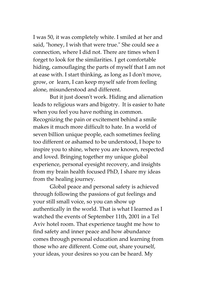I was 50, it was completely white. I smiled at her and said, "honey, I wish that were true." She could see a connection, where I did not. There are times when I forget to look for the similarities. I get comfortable hiding, camouflaging the parts of myself that I am not at ease with. I start thinking, as long as I don't move, grow, or learn, I can keep myself safe from feeling alone, misunderstood and different.

But it just doesn't work. Hiding and alienation leads to religious wars and bigotry. It is easier to hate when you feel you have nothing in common. Recognizing the pain or excitement behind a smile makes it much more difficult to hate. In a world of seven billion unique people, each sometimes feeling too different or ashamed to be understood, I hope to inspire you to shine, where you are known, respected and loved. Bringing together my unique global experience, personal eyesight recovery, and insights from my brain health focused PhD, I share my ideas from the healing journey.

Global peace and personal safety is achieved through following the passions of gut feelings and your still small voice, so you can show up authentically in the world. That is what I learned as I watched the events of September 11th, 2001 in a Tel Aviv hotel room. That experience taught me how to find safety and inner peace and how abundance comes through personal education and learning from those who are different. Come out, share yourself, your ideas, your desires so you can be heard. My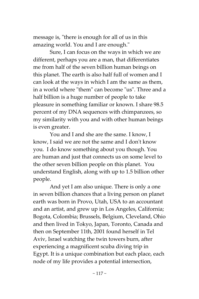message is, "there is enough for all of us in this amazing world. You and I are enough."

Sure, I can focus on the ways in which we are different, perhaps you are a man, that differentiates me from half of the seven billion human beings on this planet. The earth is also half full of women and I can look at the ways in which I am the same as them, in a world where "them" can become "us". Three and a half billion is a huge number of people to take pleasure in something familiar or known. I share 98.5 percent of my DNA sequences with chimpanzees, so my similarity with you and with other human beings is even greater.

You and I and she are the same. I know, I know, I said we are not the same and I don't know you. I do know something about you though. You are human and just that connects us on some level to the other seven billion people on this planet. You understand English, along with up to 1.5 billion other people.

And yet I am also unique. There is only a one in seven billion chances that a living person on planet earth was born in Provo, Utah, USA to an accountant and an artist, and grew up in Los Angeles, California; Bogota, Colombia; Brussels, Belgium, Cleveland, Ohio and then lived in Tokyo, Japan, Toronto, Canada and then on September 11th, 2001 found herself in Tel Aviv, Israel watching the twin towers burn, after experiencing a magnificent scuba diving trip in Egypt. It is a unique combination but each place, each node of my life provides a potential intersection,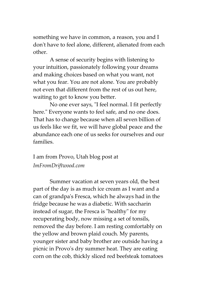something we have in common, a reason, you and I don't have to feel alone, different, alienated from each other.

A sense of security begins with listening to your intuition, passionately following your dreams and making choices based on what you want, not what you fear. You are not alone. You are probably not even that different from the rest of us out here, waiting to get to know you better.

No one ever says, "I feel normal. I fit perfectly here." Everyone wants to feel safe, and no one does. That has to change because when all seven billion of us feels like we fit, we will have global peace and the abundance each one of us seeks for ourselves and our families.

I am from Provo, Utah blog post at *ImFromDriftwood.com*

Summer vacation at seven years old, the best part of the day is as much ice cream as I want and a can of grandpa's Fresca, which he always had in the fridge because he was a diabetic. With saccharin instead of sugar, the Fresca is "healthy" for my recuperating body, now missing a set of tonsils, removed the day before. I am resting comfortably on the yellow and brown plaid couch. My parents, younger sister and baby brother are outside having a picnic in Provo's dry summer heat. They are eating corn on the cob, thickly sliced red beefsteak tomatoes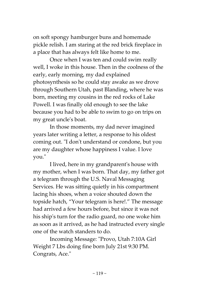on soft spongy hamburger buns and homemade pickle relish. I am staring at the red brick fireplace in a place that has always felt like home to me.

Once when I was ten and could swim really well, I woke in this house. Then in the coolness of the early, early morning, my dad explained photosynthesis so he could stay awake as we drove through Southern Utah, past Blanding, where he was born, meeting my cousins in the red rocks of Lake Powell. I was finally old enough to see the lake because you had to be able to swim to go on trips on my great uncle's boat.

In those moments, my dad never imagined years later writing a letter, a response to his oldest coming out. "I don't understand or condone, but you are my daughter whose happiness I value. I love you."

I lived, here in my grandparent's house with my mother, when I was born. That day, my father got a telegram through the U.S. Naval Messaging Services. He was sitting quietly in his compartment lacing his shoes, when a voice shouted down the topside hatch, "Your telegram is here!." The message had arrived a few hours before, but since it was not his ship's turn for the radio guard, no one woke him as soon as it arrived, as he had instructed every single one of the watch standers to do.

Incoming Message: "Provo, Utah 7:10A Girl Weight 7 Lbs doing fine born July 21st 9:30 PM. Congrats, Ace."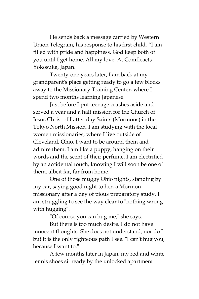He sends back a message carried by Western Union Telegram, his response to his first child, "I am filled with pride and happiness. God keep both of you until I get home. All my love. At Comfleacts Yokosuka, Japan.

Twenty-one years later, I am back at my grandparent's place getting ready to go a few blocks away to the Missionary Training Center, where I spend two months learning Japanese.

Just before I put teenage crushes aside and served a year and a half mission for the Church of Jesus Christ of Latter-day Saints (Mormons) in the Tokyo North Mission, I am studying with the local women missionaries, where I live outside of Cleveland, Ohio. I want to be around them and admire them. I am like a puppy, hanging on their words and the scent of their perfume. I am electrified by an accidental touch, knowing I will soon be one of them, albeit far, far from home.

One of those muggy Ohio nights, standing by my car, saying good night to her, a Mormon missionary after a day of pious preparatory study, I am struggling to see the way clear to "nothing wrong with hugging".

"Of course you can hug me," she says.

But there is too much desire. I do not have innocent thoughts. She does not understand, nor do I but it is the only righteous path I see. "I can't hug you, because I want to."

A few months later in Japan, my red and white tennis shoes sit ready by the unlocked apartment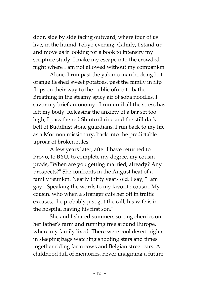door, side by side facing outward, where four of us live, in the humid Tokyo evening. Calmly, I stand up and move as if looking for a book to intensify my scripture study. I make my escape into the crowded night where I am not allowed without my companion.

Alone, I run past the yakimo man hocking hot orange fleshed sweet potatoes, past the family in flip flops on their way to the public ofuro to bathe. Breathing in the steamy spicy air of soba noodles, I savor my brief autonomy. I run until all the stress has left my body. Releasing the anxiety of a bar set too high, I pass the red Shinto shrine and the still dark bell of Buddhist stone guardians. I run back to my life as a Mormon missionary, back into the predictable uproar of broken rules.

A few years later, after I have returned to Provo, to BYU, to complete my degree, my cousin prods, "When are you getting married, already? Any prospects?" She confronts in the August heat of a family reunion. Nearly thirty years old, I say, "I am gay." Speaking the words to my favorite cousin. My cousin, who when a stranger cuts her off in traffic excuses, "he probably just got the call, his wife is in the hospital having his first son."

She and I shared summers sorting cherries on her father's farm and running free around Europe, where my family lived. There were cool desert nights in sleeping bags watching shooting stars and times together riding farm cows and Belgian street cars. A childhood full of memories, never imagining a future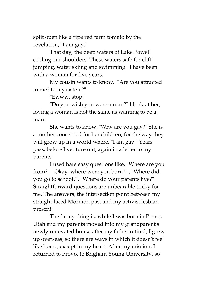split open like a ripe red farm tomato by the revelation, "I am gay."

That day, the deep waters of Lake Powell cooling our shoulders. These waters safe for cliff jumping, water skiing and swimming. I have been with a woman for five years.

My cousin wants to know, "Are you attracted to me? to my sisters?"

"Ewww, stop."

"Do you wish you were a man?" I look at her, loving a woman is not the same as wanting to be a man.

She wants to know, "Why are you gay?" She is a mother concerned for her children, for the way they will grow up in a world where, "I am gay." Years pass, before I venture out, again in a letter to my parents.

I used hate easy questions like, "Where are you from?", "Okay, where were you born?" , "Where did you go to school?", "Where do your parents live?" Straightforward questions are unbearable tricky for me. The answers, the intersection point between my straight-laced Mormon past and my activist lesbian present.

The funny thing is, while I was born in Provo, Utah and my parents moved into my grandparent's newly renovated house after my father retired, I grew up overseas, so there are ways in which it doesn't feel like home, except in my heart. After my mission, I returned to Provo, to Brigham Young University, so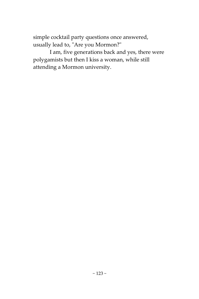simple cocktail party questions once answered, usually lead to, "Are you Mormon?"

I am, five generations back and yes, there were polygamists but then I kiss a woman, while still attending a Mormon university.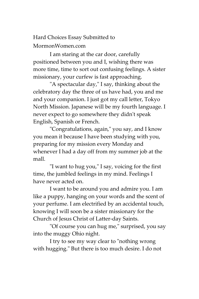Hard Choices Essay Submitted to MormonWomen.com

I am staring at the car door, carefully positioned between you and I, wishing there was more time, time to sort out confusing feelings. A sister missionary, your curfew is fast approaching.

"A spectacular day," I say, thinking about the celebratory day the three of us have had, you and me and your companion. I just got my call letter, Tokyo North Mission. Japanese will be my fourth language. I never expect to go somewhere they didn't speak English, Spanish or French.

"Congratulations, again," you say, and I know you mean it because I have been studying with you, preparing for my mission every Monday and whenever I had a day off from my summer job at the mall.

"I want to hug you," I say, voicing for the first time, the jumbled feelings in my mind. Feelings I have never acted on.

I want to be around you and admire you. I am like a puppy, hanging on your words and the scent of your perfume. I am electrified by an accidental touch, knowing I will soon be a sister missionary for the Church of Jesus Christ of Latter-day Saints.

"Of course you can hug me," surprised, you say into the muggy Ohio night.

I try to see my way clear to "nothing wrong with hugging." But there is too much desire. I do not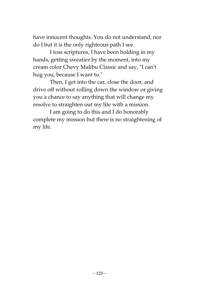have innocent thoughts. You do not understand, nor do I but it is the only righteous path I see.

I toss scriptures, I have been holding in my hands, getting sweatier by the moment, into my cream color Chevy Malibu Classic and say, "I can't hug you, because I want to."

Then, I get into the car, close the door, and drive off without rolling down the window or giving you a chance to say anything that will change my resolve to straighten out my life with a mission.

I am going to do this and I do honorably complete my mission but there is no straightening of my life.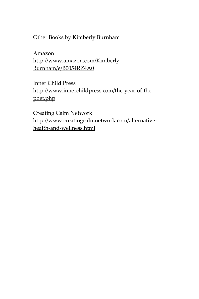Other Books by Kimberly Burnham

Amazon [http://www.amazon.com/Kimberly-](http://www.amazon.com/Kimberly-Burnham/e/B0054RZ4A0)[Burnham/e/B0054RZ4A0](http://www.amazon.com/Kimberly-Burnham/e/B0054RZ4A0)

Inner Child Press [http://www.innerchildpress.com/the-year-of-the](http://www.innerchildpress.com/the-year-of-the-poet.php)[poet.php](http://www.innerchildpress.com/the-year-of-the-poet.php)

Creating Calm Network [http://www.creatingcalmnetwork.com/alternative](http://www.creatingcalmnetwork.com/alternative-health-and-wellness.html)[health-and-wellness.html](http://www.creatingcalmnetwork.com/alternative-health-and-wellness.html)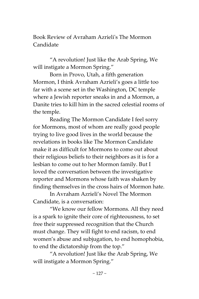Book Review of Avraham Azrieli's The Mormon Candidate

"A revolution! Just like the Arab Spring, We will instigate a Mormon Spring."

Born in Provo, Utah, a fifth generation Mormon, I think Avraham Azrieli's goes a little too far with a scene set in the Washington, DC temple where a Jewish reporter sneaks in and a Mormon, a Danite tries to kill him in the sacred celestial rooms of the temple.

Reading The Mormon Candidate I feel sorry for Mormons, most of whom are really good people trying to live good lives in the world because the revelations in books like The Mormon Candidate make it as difficult for Mormons to come out about their religious beliefs to their neighbors as it is for a lesbian to come out to her Mormon family. But I loved the conversation between the investigative reporter and Mormons whose faith was shaken by finding themselves in the cross hairs of Mormon hate.

In Avraham Azrieli's Novel The Mormon Candidate, is a conversation:

"We know our fellow Mormons. All they need is a spark to ignite their core of righteousness, to set free their suppressed recognition that the Church must change. They will fight to end racism, to end women's abuse and subjugation, to end homophobia, to end the dictatorship from the top."

"A revolution! Just like the Arab Spring, We will instigate a Mormon Spring."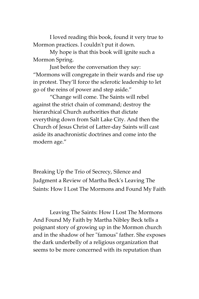I loved reading this book, found it very true to Mormon practices. I couldn't put it down.

My hope is that this book will ignite such a Mormon Spring.

Just before the conversation they say: "Mormons will congregate in their wards and rise up in protest. They'll force the sclerotic leadership to let go of the reins of power and step aside."

"Change will come. The Saints will rebel against the strict chain of command; destroy the hierarchical Church authorities that dictate everything down from Salt Lake City. And then the Church of Jesus Christ of Latter-day Saints will cast aside its anachronistic doctrines and come into the modern age."

Breaking Up the Trio of Secrecy, Silence and Judgment a Review of Martha Beck's Leaving The Saints: How I Lost The Mormons and Found My Faith

Leaving The Saints: How I Lost The Mormons And Found My Faith by Martha Nibley Beck tells a poignant story of growing up in the Mormon church and in the shadow of her "famous" father. She exposes the dark underbelly of a religious organization that seems to be more concerned with its reputation than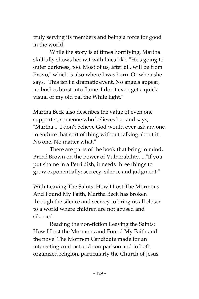truly serving its members and being a force for good in the world.

While the story is at times horrifying, Martha skillfully shows her wit with lines like, "He's going to outer darkness, too. Most of us, after all, will be from Provo," which is also where I was born. Or when she says, "This isn't a dramatic event. No angels appear, no bushes burst into flame. I don't even get a quick visual of my old pal the White light."

Martha Beck also describes the value of even one supporter, someone who believes her and says, "Martha ... I don't believe God would ever ask anyone to endure that sort of thing without talking about it. No one. No matter what."

There are parts of the book that bring to mind, Brené Brown on the Power of Vulnerability....."If you put shame in a Petri dish, it needs three things to grow exponentially: secrecy, silence and judgment."

With Leaving The Saints: How I Lost The Mormons And Found My Faith, Martha Beck has broken through the silence and secrecy to bring us all closer to a world where children are not abused and silenced.

Reading the non-fiction Leaving the Saints: How I Lost the Mormons and Found My Faith and the novel The Mormon Candidate made for an interesting contrast and comparison and in both organized religion, particularly the Church of Jesus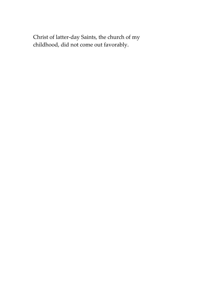Christ of latter-day Saints, the church of my childhood, did not come out favorably.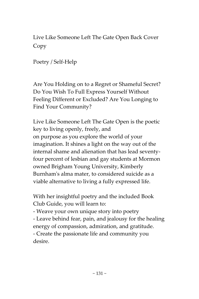Live Like Someone Left The Gate Open Back Cover Copy

Poetry / Self-Help

Are You Holding on to a Regret or Shameful Secret? Do You Wish To Full Express Yourself Without Feeling Different or Excluded? Are You Longing to Find Your Community?

Live Like Someone Left The Gate Open is the poetic key to living openly, freely, and on purpose as you explore the world of your imagination. It shines a light on the way out of the internal shame and alienation that has lead seventyfour percent of lesbian and gay students at Mormon owned Brigham Young University, Kimberly Burnham's alma mater, to considered suicide as a viable alternative to living a fully expressed life.

With her insightful poetry and the included Book Club Guide, you will learn to:

- Weave your own unique story into poetry - Leave behind fear, pain, and jealousy for the healing energy of compassion, admiration, and gratitude. - Create the passionate life and community you desire.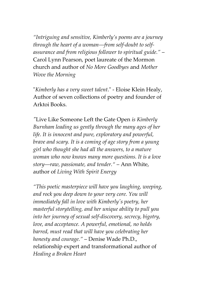*"Intriguing and sensitive, Kimberly's poems are a journey through the heart of a woman––from self-doubt to selfassurance and from religious follower to spiritual guide."* – Carol Lynn Pearson, poet laureate of the Mormon church and author of *No More Goodbyes* and *Mother Wove the Morning*

"*Kimberly has a very sweet talent*." - Eloise Klein Healy, Author of seven collections of poetry and founder of Arktoi Books.

*"*Live Like Someone Left the Gate Open *is Kimberly Burnham leading us gently through the many ages of her life. It is innocent and pure, exploratory and powerful, brave and scary. It is a coming of age story from a young girl who thought she had all the answers, to a mature woman who now knows many more questions. It is a love story––raw, passionate, and tender."* – Ann White, author of *Living With Spirit Energy*

*"This poetic masterpiece will have you laughing, weeping, and rock you deep down to your very core. You will immediately fall in love with Kimberly's poetry, her masterful storytelling, and her unique ability to pull you into her journey of sexual self-discovery, secrecy, bigotry, love, and acceptance. A powerful, emotional, no holds barred, must read that will have you celebrating her honesty and courage."* – Denise Wade Ph.D., relationship expert and transformational author of *Healing a Broken Heart*